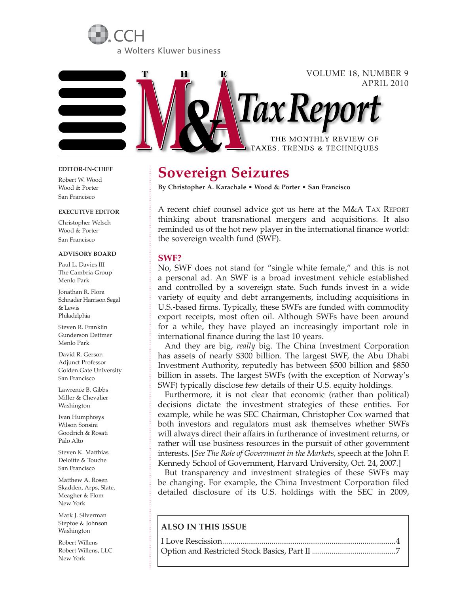



#### **EDITOR-IN-CHIEF**

Robert W. Wood Wood & Porter San Francisco

#### **EXECUTIVE EDITOR**

Christopher Welsch Wood & Porter San Francisco

#### **ADVISORY BOARD**

Paul L. Davies III The Cambria Group Menlo Park

Jonathan R. Flora Schnader Harrison Segal & Lewis Philadelphia

Steven R. Franklin Gunderson Dettmer Menlo Park

David R. Gerson Adjunct Professor Golden Gate University San Francisco

Lawrence B. Gibbs Miller & Chevalier Washington

Ivan Humphreys Wilson Sonsini Goodrich & Rosati Palo Alto

Steven K. Matthias Deloitte & Touche San Francisco

Matthew A. Rosen Skadden, Arps, Slate, Meagher & Flom New York

Mark J. Silverman Steptoe & Johnson Washington

Robert Willens Robert Willens, LLC New York

# **Sovereign Seizures**

**By Christopher A. Karachale • Wood & Porter • San Francisco**

A recent chief counsel advice got us here at the M&A TAX REPORT thinking about transnational mergers and acquisitions. It also reminded us of the hot new player in the international finance world: the sovereign wealth fund (SWF).

#### **SWF?**

No, SWF does not stand for "single white female," and this is not a personal ad. An SWF is a broad investment vehicle established and controlled by a sovereign state. Such funds invest in a wide variety of equity and debt arrangements, including acquisitions in U.S.-based firms. Typically, these SWFs are funded with commodity export receipts, most often oil. Although SWFs have been around for a while, they have played an increasingly important role in international finance during the last 10 years.

And they are big, *really* big. The China Investment Corporation has assets of nearly \$300 billion. The largest SWF, the Abu Dhabi Investment Authority, reputedly has between \$500 billion and \$850 billion in assets. The largest SWFs (with the exception of Norway's SWF) typically disclose few details of their U.S. equity holdings.

Furthermore, it is not clear that economic (rather than political) decisions dictate the investment strategies of these entities. For example, while he was SEC Chairman, Christopher Cox warned that both investors and regulators must ask themselves whether SWFs will always direct their affairs in furtherance of investment returns, or rather will use business resources in the pursuit of other government interests. [*See The Role of Government in the Markets,* speech at the John F. Kennedy School of Government, Harvard University, Oct. 24, 2007.]

But transparency and investment strategies of these SWFs may be changing. For example, the China Investment Corporation filed detailed disclosure of its U.S. holdings with the SEC in 2009,

### **ALSO IN THIS ISSUE**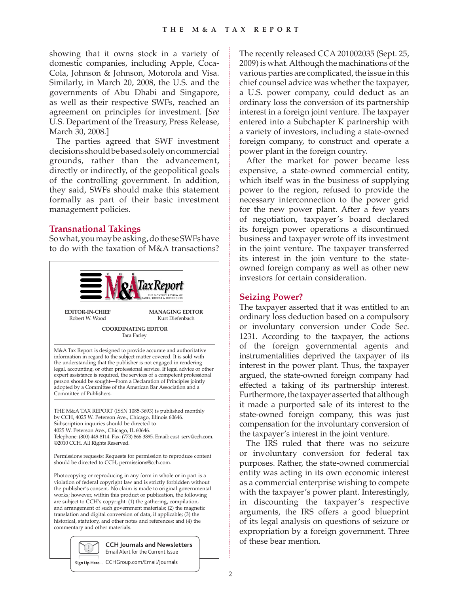showing that it owns stock in a variety of domestic companies, including Apple, Coca-Cola, Johnson & Johnson, Motorola and Visa. Similarly, in March 20, 2008, the U.S. and the governments of Abu Dhabi and Singapore, as well as their respective SWFs, reached an agreement on principles for investment. [*See* U.S. Department of the Treasury, Press Release, March 30, 2008.]

The parties agreed that SWF investment decisions should be based solely on commercial grounds, rather than the advancement, directly or indirectly, of the geopolitical goals of the controlling government. In addition, they said, SWFs should make this statement formally as part of their basic investment management policies.

# **Transnational Takings**

So what, you may be asking, do these SWFs have to do with the taxation of M&A transactions?



2009) is what. Although the machinations of the various parties are complicated, the issue in this chief counsel advice was whether the taxpayer, a U.S. power company, could deduct as an ordinary loss the conversion of its partnership interest in a foreign joint venture. The taxpayer entered into a Subchapter K partnership with a variety of investors, including a state-owned foreign company, to construct and operate a power plant in the foreign country. After the market for power became less

The recently released CCA 201002035 (Sept. 25,

expensive, a state-owned commercial entity, which itself was in the business of supplying power to the region, refused to provide the necessary interconnection to the power grid for the new power plant. After a few years of negotiation, taxpayer's board declared its foreign power operations a discontinued business and taxpayer wrote off its investment in the joint venture. The taxpayer transferred its interest in the join venture to the stateowned foreign company as well as other new investors for certain consideration.

# **Seizing Power?**

The taxpayer asserted that it was entitled to an ordinary loss deduction based on a compulsory or involuntary conversion under Code Sec. 1231. According to the taxpayer, the actions of the foreign governmental agents and instrumentalities deprived the taxpayer of its interest in the power plant. Thus, the taxpayer argued, the state-owned foreign company had effected a taking of its partnership interest. Furthermore, the taxpayer asserted that although it made a purported sale of its interest to the state-owned foreign company, this was just compensation for the involuntary conversion of the taxpayer's interest in the joint venture.

The IRS ruled that there was no seizure or involuntary conversion for federal tax purposes. Rather, the state-owned commercial entity was acting in its own economic interest as a commercial enterprise wishing to compete with the taxpayer's power plant. Interestingly, in discounting the taxpayer's respective arguments, the IRS offers a good blueprint of its legal analysis on questions of seizure or expropriation by a foreign government. Three of these bear mention.

**Sign Up Here...** CCHGroup.com/Email/Journals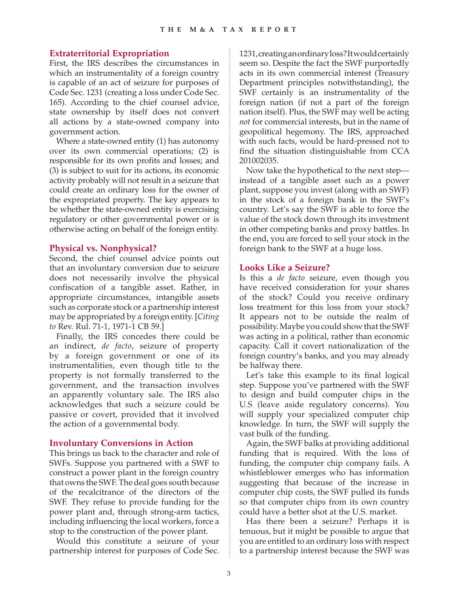## **Extraterritorial Expropriation**

First, the IRS describes the circumstances in which an instrumentality of a foreign country is capable of an act of seizure for purposes of Code Sec. 1231 (creating a loss under Code Sec. 165). According to the chief counsel advice, state ownership by itself does not convert all actions by a state-owned company into government action.

Where a state-owned entity (1) has autonomy over its own commercial operations; (2) is responsible for its own profits and losses; and (3) is subject to suit for its actions, its economic activity probably will not result in a seizure that could create an ordinary loss for the owner of the expropriated property. The key appears to be whether the state-owned entity is exercising regulatory or other governmental power or is otherwise acting on behalf of the foreign entity.

## **Physical vs. Nonphysical?**

Second, the chief counsel advice points out that an involuntary conversion due to seizure does not necessarily involve the physical confiscation of a tangible asset. Rather, in appropriate circumstances, intangible assets such as corporate stock or a partnership interest may be appropriated by a foreign entity. [*Citing to* Rev. Rul. 71-1, 1971-1 CB 59.]

Finally, the IRS concedes there could be an indirect, *de facto*, seizure of property by a foreign government or one of its instrumentalities, even though title to the property is not formally transferred to the government, and the transaction involves an apparently voluntary sale. The IRS also acknowledges that such a seizure could be passive or covert, provided that it involved the action of a governmental body.

## **Involuntary Conversions in Action**

This brings us back to the character and role of SWFs. Suppose you partnered with a SWF to construct a power plant in the foreign country that owns the SWF. The deal goes south because of the recalcitrance of the directors of the SWF. They refuse to provide funding for the power plant and, through strong-arm tactics, including influencing the local workers, force a stop to the construction of the power plant.

Would this constitute a seizure of your partnership interest for purposes of Code Sec. 1231, creating an ordinary loss? It would certainly seem so. Despite the fact the SWF purportedly acts in its own commercial interest (Treasury Department principles notwithstanding), the SWF certainly is an instrumentality of the foreign nation (if not a part of the foreign nation itself). Plus, the SWF may well be acting *not* for commercial interests, but in the name of geopolitical hegemony. The IRS, approached with such facts, would be hard-pressed not to find the situation distinguishable from CCA 201002035.

Now take the hypothetical to the next step instead of a tangible asset such as a power plant, suppose you invest (along with an SWF) in the stock of a foreign bank in the SWF's country. Let's say the SWF is able to force the value of the stock down through its investment in other competing banks and proxy battles. In the end, you are forced to sell your stock in the foreign bank to the SWF at a huge loss.

## **Looks Like a Seizure?**

Is this a *de facto* seizure, even though you have received consideration for your shares of the stock? Could you receive ordinary loss treatment for this loss from your stock? It appears not to be outside the realm of possibility. Maybe you could show that the SWF was acting in a political, rather than economic capacity. Call it covert nationalization of the foreign country's banks, and you may already be halfway there.

Let's take this example to its final logical step. Suppose you've partnered with the SWF to design and build computer chips in the U.S (leave aside regulatory concerns). You will supply your specialized computer chip knowledge. In turn, the SWF will supply the vast bulk of the funding.

Again, the SWF balks at providing additional funding that is required. With the loss of funding, the computer chip company fails. A whistleblower emerges who has information suggesting that because of the increase in computer chip costs, the SWF pulled its funds so that computer chips from its own country could have a better shot at the U.S. market.

Has there been a seizure? Perhaps it is tenuous, but it might be possible to argue that you are entitled to an ordinary loss with respect to a partnership interest because the SWF was